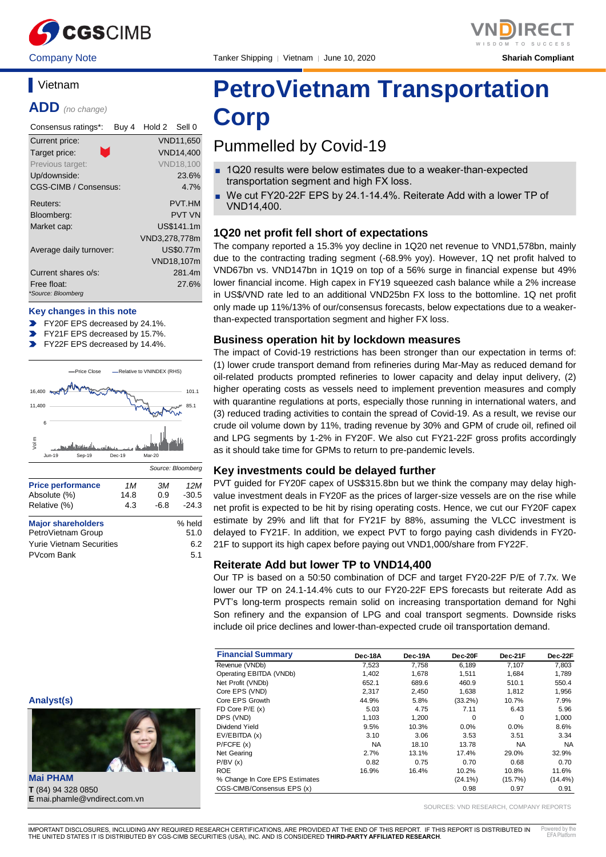

Company Note Tanker Shipping │ Vietnam │ June 10, 2020 **Shariah Compliant**



# **Vietnam**

**ADD** *(no change)*

| Consensus ratings*:               | Buy 4 | Hold 2 Sell 0 |                  |
|-----------------------------------|-------|---------------|------------------|
| Current price:                    |       |               | VND11,650        |
| Target price:                     |       |               | <b>VND14.400</b> |
| Previous target:                  |       |               | <b>VND18,100</b> |
| Up/downside:                      |       |               | 23.6%            |
| CGS-CIMB / Consensus:             |       |               | 4.7%             |
| Reuters:                          |       |               | <b>PVT.HM</b>    |
| Bloomberg:                        |       |               | <b>PVT VN</b>    |
| Market cap:                       |       |               | US\$141.1m       |
|                                   |       | VND3,278,778m |                  |
| Average daily turnover:           |       |               | US\$0.77m        |
|                                   |       |               | VND18,107m       |
| Current shares o/s:               |       |               | 281.4m           |
| Free float:<br>*Source: Bloomberg |       |               | 27.6%            |

#### **Key changes in this note**

- FY20F EPS decreased by 24.1%.
- FY21F EPS decreased by 15.7%.
- FY22F EPS decreased by 14.4%.



# **PetroVietnam Transportation Corp**

# Pummelled by Covid-19

- 1Q20 results were below estimates due to a weaker-than-expected transportation segment and high FX loss.
- We cut FY20-22F EPS by 24.1-14.4%. Reiterate Add with a lower TP of VND14,400.

# **1Q20 net profit fell short of expectations**

The company reported a 15.3% yoy decline in 1Q20 net revenue to VND1,578bn, mainly due to the contracting trading segment (-68.9% yoy). However, 1Q net profit halved to VND67bn vs. VND147bn in 1Q19 on top of a 56% surge in financial expense but 49% lower financial income. High capex in FY19 squeezed cash balance while a 2% increase in US\$/VND rate led to an additional VND25bn FX loss to the bottomline. 1Q net profit only made up 11%/13% of our/consensus forecasts, below expectations due to a weakerthan-expected transportation segment and higher FX loss.

## **Business operation hit by lockdown measures**

The impact of Covid-19 restrictions has been stronger than our expectation in terms of: (1) lower crude transport demand from refineries during Mar-May as reduced demand for oil-related products prompted refineries to lower capacity and delay input delivery, (2) higher operating costs as vessels need to implement prevention measures and comply with quarantine regulations at ports, especially those running in international waters, and (3) reduced trading activities to contain the spread of Covid-19. As a result, we revise our crude oil volume down by 11%, trading revenue by 30% and GPM of crude oil, refined oil and LPG segments by 1-2% in FY20F. We also cut FY21-22F gross profits accordingly as it should take time for GPMs to return to pre-pandemic levels.

## **Key investments could be delayed further**

PVT guided for FY20F capex of US\$315.8bn but we think the company may delay highvalue investment deals in FY20F as the prices of larger-size vessels are on the rise while net profit is expected to be hit by rising operating costs. Hence, we cut our FY20F capex estimate by 29% and lift that for FY21F by 88%, assuming the VLCC investment is delayed to FY21F. In addition, we expect PVT to forgo paying cash dividends in FY20- 21F to support its high capex before paying out VND1,000/share from FY22F.

# **Reiterate Add but lower TP to VND14,400**

Our TP is based on a 50:50 combination of DCF and target FY20-22F P/E of 7.7x. We lower our TP on 24.1-14.4% cuts to our FY20-22F EPS forecasts but reiterate Add as PVT's long-term prospects remain solid on increasing transportation demand for Nghi Son refinery and the expansion of LPG and coal transport segments. Downside risks include oil price declines and lower-than-expected crude oil transportation demand.

| <b>Financial Summary</b>       | Dec-18A   | Dec-19A | Dec-20F    | Dec-21F    | Dec-22F    |
|--------------------------------|-----------|---------|------------|------------|------------|
| Revenue (VNDb)                 | 7,523     | 7,758   | 6.189      | 7,107      | 7,803      |
| Operating EBITDA (VNDb)        | 1,402     | 1,678   | 1,511      | 1,684      | 1,789      |
| Net Profit (VNDb)              | 652.1     | 689.6   | 460.9      | 510.1      | 550.4      |
| Core EPS (VND)                 | 2.317     | 2,450   | 1.638      | 1.812      | 1,956      |
| Core EPS Growth                | 44.9%     | 5.8%    | $(33.2\%)$ | 10.7%      | 7.9%       |
| FD Core $P/E(x)$               | 5.03      | 4.75    | 7.11       | 6.43       | 5.96       |
| DPS (VND)                      | 1.103     | 1.200   | $\Omega$   | $\Omega$   | 1,000      |
| Dividend Yield                 | 9.5%      | 10.3%   | $0.0\%$    | 0.0%       | 8.6%       |
| EV/EBITDA (x)                  | 3.10      | 3.06    | 3.53       | 3.51       | 3.34       |
| P/FCFE(x)                      | <b>NA</b> | 18.10   | 13.78      | NA.        | <b>NA</b>  |
| Net Gearing                    | 2.7%      | 13.1%   | 17.4%      | 29.0%      | 32.9%      |
| P/BV(x)                        | 0.82      | 0.75    | 0.70       | 0.68       | 0.70       |
| <b>ROE</b>                     | 16.9%     | 16.4%   | 10.2%      | 10.8%      | 11.6%      |
| % Change In Core EPS Estimates |           |         | $(24.1\%)$ | $(15.7\%)$ | $(14.4\%)$ |
| CGS-CIMB/Consensus EPS (x)     |           |         | 0.98       | 0.97       | 0.91       |

SOURCES: VND RESEARCH, COMPANY REPORTS



**Mai PHAM T** (84) 94 328 0850 **E** mai.phamle@vndirect.com.vn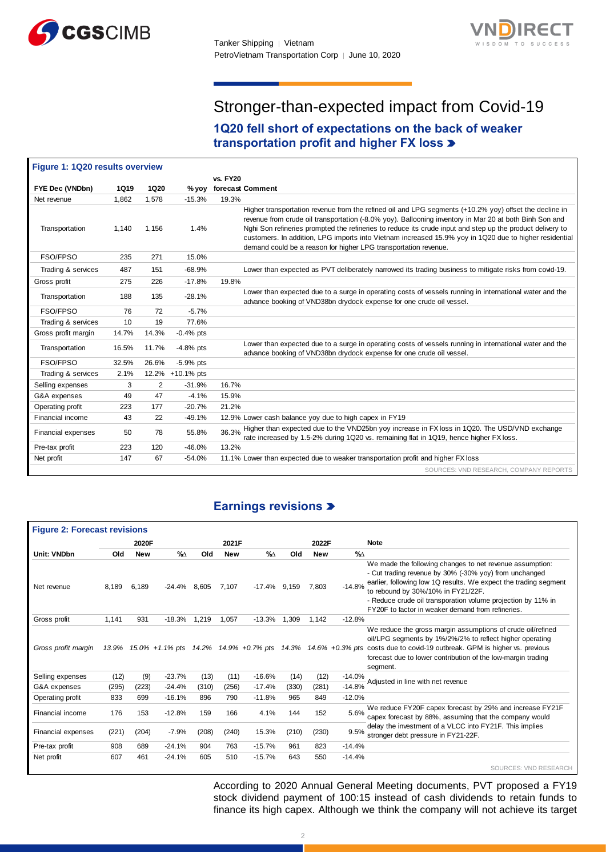



# Stronger-than-expected impact from Covid-19

# **1Q20 fell short of expectations on the back of weaker transportation profit and higher FX loss**

| Figure 1: 1Q20 results overview |             |             |                  |                                                                                                                                                                                                                                                                                                                                                                                                                                                                                                            |
|---------------------------------|-------------|-------------|------------------|------------------------------------------------------------------------------------------------------------------------------------------------------------------------------------------------------------------------------------------------------------------------------------------------------------------------------------------------------------------------------------------------------------------------------------------------------------------------------------------------------------|
|                                 |             |             |                  | <b>vs. FY20</b>                                                                                                                                                                                                                                                                                                                                                                                                                                                                                            |
| FYE Dec (VNDbn)                 | <b>1Q19</b> | <b>1Q20</b> | % vov            | forecast Comment                                                                                                                                                                                                                                                                                                                                                                                                                                                                                           |
| Net revenue                     | 1,862       | 1,578       | $-15.3%$         | 19.3%                                                                                                                                                                                                                                                                                                                                                                                                                                                                                                      |
| Transportation                  | 1,140       | 1,156       | 1.4%             | Higher transportation revenue from the refined oil and LPG segments (+10.2% yoy) offset the decline in<br>revenue from crude oil transportation (-8.0% yoy). Ballooning inventory in Mar 20 at both Binh Son and<br>Nghi Son refineries prompted the refineries to reduce its crude input and step up the product delivery to<br>customers. In addition, LPG imports into Vietnam increased 15.9% yoy in 1Q20 due to higher residential<br>demand could be a reason for higher LPG transportation revenue. |
| FSO/FPSO                        | 235         | 271         | 15.0%            |                                                                                                                                                                                                                                                                                                                                                                                                                                                                                                            |
| Trading & services              | 487         | 151         | $-68.9%$         | Lower than expected as PVT deliberately narrowed its trading business to mitigate risks from covid-19.                                                                                                                                                                                                                                                                                                                                                                                                     |
| Gross profit                    | 275         | 226         | $-17.8%$         | 19.8%                                                                                                                                                                                                                                                                                                                                                                                                                                                                                                      |
| Transportation                  | 188         | 135         | $-28.1%$         | Lower than expected due to a surge in operating costs of vessels running in international water and the<br>advance booking of VND38bn drydock expense for one crude oil vessel.                                                                                                                                                                                                                                                                                                                            |
| FSO/FPSO                        | 76          | 72          | $-5.7%$          |                                                                                                                                                                                                                                                                                                                                                                                                                                                                                                            |
| Trading & services              | 10          | 19          | 77.6%            |                                                                                                                                                                                                                                                                                                                                                                                                                                                                                                            |
| Gross profit margin             | 14.7%       | 14.3%       | $-0.4%$ pts      |                                                                                                                                                                                                                                                                                                                                                                                                                                                                                                            |
| Transportation                  | 16.5%       | 11.7%       | $-4.8%$ pts      | Lower than expected due to a surge in operating costs of vessels running in international water and the<br>advance booking of VND38bn drydock expense for one crude oil vessel.                                                                                                                                                                                                                                                                                                                            |
| FSO/FPSO                        | 32.5%       | 26.6%       | $-5.9%$ pts      |                                                                                                                                                                                                                                                                                                                                                                                                                                                                                                            |
| Trading & services              | 2.1%        |             | 12.2% +10.1% pts |                                                                                                                                                                                                                                                                                                                                                                                                                                                                                                            |
| Selling expenses                | 3           | 2           | $-31.9%$         | 16.7%                                                                                                                                                                                                                                                                                                                                                                                                                                                                                                      |
| G&A expenses                    | 49          | 47          | $-4.1%$          | 15.9%                                                                                                                                                                                                                                                                                                                                                                                                                                                                                                      |
| Operating profit                | 223         | 177         | $-20.7%$         | 21.2%                                                                                                                                                                                                                                                                                                                                                                                                                                                                                                      |
| Financial income                | 43          | 22          | $-49.1%$         | 12.9% Lower cash balance yoy due to high capex in FY19                                                                                                                                                                                                                                                                                                                                                                                                                                                     |
| Financial expenses              | 50          | 78          | 55.8%            | Higher than expected due to the VND25bn yoy increase in FX loss in 1Q20. The USD/VND exchange<br>36.3%<br>rate increased by 1.5-2% during 1Q20 vs. remaining flat in 1Q19, hence higher FX loss.                                                                                                                                                                                                                                                                                                           |
| Pre-tax profit                  | 223         | 120         | $-46.0%$         | 13.2%                                                                                                                                                                                                                                                                                                                                                                                                                                                                                                      |
| Net profit                      | 147         | 67          | $-54.0%$         | 11.1% Lower than expected due to weaker transportation profit and higher FX loss                                                                                                                                                                                                                                                                                                                                                                                                                           |
|                                 |             |             |                  | SOURCES: VND RESEARCH, COMPANY REPORTS                                                                                                                                                                                                                                                                                                                                                                                                                                                                     |

# **Earnings revisions**

| <b>Figure 2: Forecast revisions</b> |       |            |          |       |            |                 |       |            |          |                                                                                                                                                                                                                                                                                                                                                   |
|-------------------------------------|-------|------------|----------|-------|------------|-----------------|-------|------------|----------|---------------------------------------------------------------------------------------------------------------------------------------------------------------------------------------------------------------------------------------------------------------------------------------------------------------------------------------------------|
|                                     |       | 2020F      |          |       | 2021F      |                 |       | 2022F      |          | <b>Note</b>                                                                                                                                                                                                                                                                                                                                       |
| Unit: VNDbn                         | Old   | <b>New</b> | %∆       | Old   | <b>New</b> | $\%$            | Old   | <b>New</b> | %∆       |                                                                                                                                                                                                                                                                                                                                                   |
| Net revenue                         | 8,189 | 6,189      | -24.4%   | 8.605 | 7,107      | $-17.4\%$ 9,159 |       | 7,803      | $-14.8%$ | We made the following changes to net revenue assumption:<br>- Cut trading revenue by 30% (-30% yoy) from unchanged<br>earlier, following low 1Q results. We expect the trading segment<br>to rebound by 30%/10% in FY21/22F.<br>- Reduce crude oil transporation volume projection by 11% in<br>FY20F to factor in weaker demand from refineries. |
| Gross profit                        | 1,141 | 931        | $-18.3%$ | 1,219 | 1,057      | $-13.3%$        | 1,309 | 1,142      | $-12.8%$ |                                                                                                                                                                                                                                                                                                                                                   |
| Gross profit margin                 |       |            |          |       |            |                 |       |            |          | We reduce the gross margin assumptions of crude oil/refined<br>oil/LPG segments by 1%/2%/2% to reflect higher operating<br>13.9% 15.0% +1.1% pts 14.2% 14.9% +0.7% pts 14.3% 14.6% +0.3% pts costs due to covid-19 outbreak. GPM is higher vs. previous<br>forecast due to lower contribution of the low-margin trading<br>segment.               |
| Selling expenses                    | (12)  | (9)        | $-23.7%$ | (13)  | (11)       | $-16.6%$        | (14)  | (12)       | $-14.0%$ | Adiusted in line with net revenue                                                                                                                                                                                                                                                                                                                 |
| G&A expenses                        | (295) | (223)      | $-24.4%$ | (310) | (256)      | $-17.4%$        | (330) | (281)      | $-14.8%$ |                                                                                                                                                                                                                                                                                                                                                   |
| Operating profit                    | 833   | 699        | $-16.1%$ | 896   | 790        | $-11.8%$        | 965   | 849        | $-12.0%$ |                                                                                                                                                                                                                                                                                                                                                   |
| Financial income                    | 176   | 153        | $-12.8%$ | 159   | 166        | 4.1%            | 144   | 152        | 5.6%     | We reduce FY20F capex forecast by 29% and increase FY21F<br>capex forecast by 88%, assuming that the company would                                                                                                                                                                                                                                |
| <b>Financial expenses</b>           | (221) | (204)      | $-7.9%$  | (208) | (240)      | 15.3%           | (210) | (230)      | 9.5%     | delay the investment of a VLCC into FY21F. This implies<br>stronger debt pressure in FY21-22F.                                                                                                                                                                                                                                                    |
| Pre-tax profit                      | 908   | 689        | $-24.1%$ | 904   | 763        | $-15.7%$        | 961   | 823        | $-14.4%$ |                                                                                                                                                                                                                                                                                                                                                   |
| Net profit                          | 607   | 461        | $-24.1%$ | 605   | 510        | $-15.7%$        | 643   | 550        | $-14.4%$ |                                                                                                                                                                                                                                                                                                                                                   |
|                                     |       |            |          |       |            |                 |       |            |          | SOURCES: VND RESEARCH                                                                                                                                                                                                                                                                                                                             |

According to 2020 Annual General Meeting documents, PVT proposed a FY19 stock dividend payment of 100:15 instead of cash dividends to retain funds to finance its high capex. Although we think the company will not achieve its target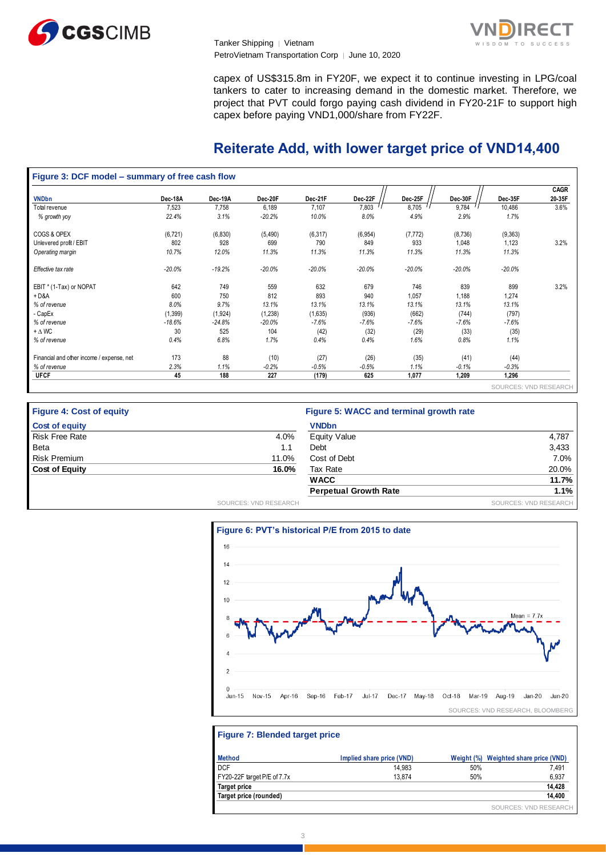



capex of US\$315.8m in FY20F, we expect it to continue investing in LPG/coal tankers to cater to increasing demand in the domestic market. Therefore, we project that PVT could forgo paying cash dividend in FY20-21F to support high capex before paying VND1,000/share from FY22F.

# **Reiterate Add, with lower target price of VND14,400**

#### **Figure 3: DCF model – summary of free cash flow**  SOURCES: VND RESEARCH **VNDbn Dec-18A Dec-19A Dec-20F Dec-21F Dec-22F Dec-25F Dec-30F Dec-35F CAGR 20-35F** Total revenue 7,523 7,758 6,189 7,107 7,803  $^{\prime\,\prime}$  8,705  $^{\prime\,\prime}$  9,784  $^{\prime\,\prime}$  10,486 3.6% *% growth yoy 22.4% 3.1% -20.2% 10.0% 8.0% 4.9% 2.9% 1.7%* COGS & OPEX (6,721) (6,830) (5,490) (6,317) (6,954) (7,772) (8,736) (9,363) Unlevered profit / EBIT 802 928 699 790 849 933 1,048 1,123 3.2% *Operating margin 10.7% 12.0% 11.3% 11.3% 11.3% 11.3% 11.3% 11.3% Effective tax rate -20.0% -19.2% -20.0% -20.0% -20.0% -20.0% -20.0% -20.0%* EBIT \* (1-Tax) or NOPAT 642 749 559 632 679 746 839 899 3.2% + D&A 600 750 812 893 940 1,057 1,188 1,274 *% of revenue 8.0% 9.7% 13.1% 13.1% 13.1% 13.1% 13.1% 13.1%* - CapEx (1,399) (1,924) (1,238) (1,635) (936) (662) (744) (797) *% of revenue -18.6% -24.8% -20.0% -7.6% -7.6% -7.6% -7.6% -7.6%* + ∆ WC 30 525 104 (42) (32) (29) (33) (35) *% of revenue 0.4% 6.8% 1.7% 0.4% 0.4% 1.6% 0.8% 1.1%* Financial and other income / expense, net 173 88 (10) (27) (26) (35) (41) (44) *% of revenue 2.3% 1.1% -0.2% -0.5% -0.5% 1.1% -0.1% -0.3%* **UFCF 45 188 227 (179) 625 1,077 1,209 1,296**

| <b>Figure 4: Cost of equity</b> |                       | Figure 5: WACC and terminal growth rate |                       |
|---------------------------------|-----------------------|-----------------------------------------|-----------------------|
| <b>Cost of equity</b>           |                       | <b>VNDbn</b>                            |                       |
| <b>Risk Free Rate</b>           | 4.0%                  | Equity Value                            | 4,787                 |
| <b>Beta</b>                     | 1.1                   | Debt                                    | 3,433                 |
| <b>Risk Premium</b>             | 11.0%                 | Cost of Debt                            | 7.0%                  |
| <b>Cost of Equity</b>           | 16.0%                 | Tax Rate                                | 20.0%                 |
|                                 |                       | <b>WACC</b>                             | 11.7%                 |
|                                 |                       | <b>Perpetual Growth Rate</b>            | 1.1%                  |
|                                 | SOURCES: VND RESEARCH |                                         | SOURCES: VND RESEARCH |



#### **Figure 7: Blended target price**

| <b>Method</b>               | Implied share price (VND) | Weight (%) | Weighted share price (VND) |
|-----------------------------|---------------------------|------------|----------------------------|
| DCF                         | 14.983                    | 50%        | 7.491                      |
| FY20-22F target P/E of 7.7x | 13.874                    | 50%        | 6.937                      |
| <b>Target price</b>         |                           |            | 14.428                     |
| Target price (rounded)      |                           |            | 14,400                     |
|                             |                           |            | SOURCES: VND RESEARCH      |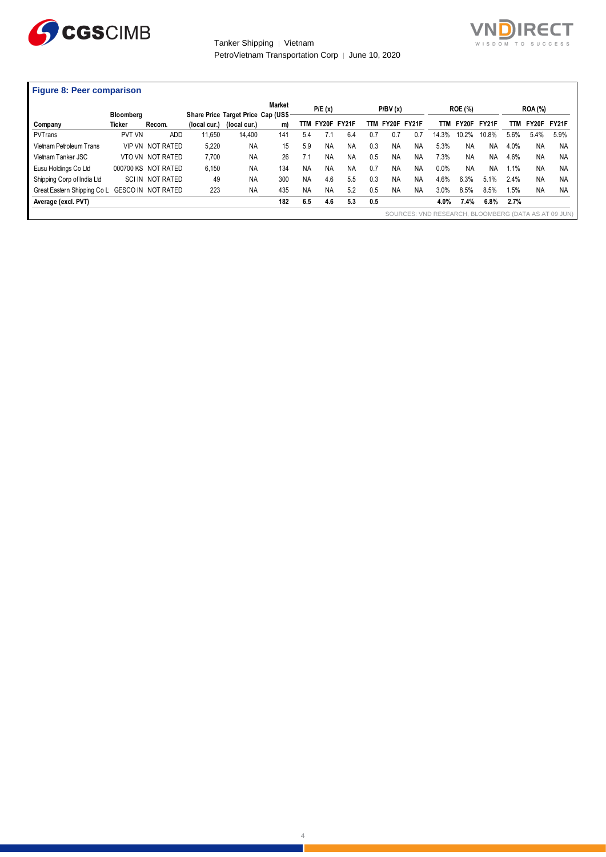



| <b>Figure 8: Peer comparison</b> |  |  |  |
|----------------------------------|--|--|--|
|----------------------------------|--|--|--|

| Figure 8: Peer comparison   |                                   |                         |              |                                                     |                     |           |           |                 |     |           |             |            |                         |              |      |                               |                                                      |
|-----------------------------|-----------------------------------|-------------------------|--------------|-----------------------------------------------------|---------------------|-----------|-----------|-----------------|-----|-----------|-------------|------------|-------------------------|--------------|------|-------------------------------|------------------------------------------------------|
| Company                     | <b>Bloombera</b><br><b>Ticker</b> | Recom.                  | (local cur.) | Share Price Target Price Cap (US\$-<br>(local cur.) | <b>Market</b><br>m) |           | P/E(x)    | TTM FY20F FY21F | TTM | P/BV(x)   | FY20F FY21F | <b>TTM</b> | <b>ROE (%)</b><br>FY20F | <b>FY21F</b> | TTM  | <b>ROA</b> (%)<br>FY20F FY21F |                                                      |
| PVTrans                     | PVT VN                            | ADD                     | 11.650       | 14.400                                              | 141                 | 5.4       |           | 6.4             | 07  | 0.7       | 0.7         | 14.3%      | 10.2%                   | 10.8%        | 5.6% | 5.4%                          | 5.9%                                                 |
| Vietnam Petroleum Trans     |                                   | <b>VIP VN NOT RATED</b> | 5,220        | <b>NA</b>                                           | 15                  | 5.9       | <b>NA</b> | <b>NA</b>       | 0.3 | <b>NA</b> | <b>NA</b>   | 5.3%       | <b>NA</b>               | <b>NA</b>    | 4.0% | <b>NA</b>                     | NA                                                   |
| Vietnam Tanker JSC          |                                   | VTO VN NOT RATED        | 7,700        | <b>NA</b>                                           | 26                  | 7.1       | ΝA        | <b>NA</b>       | 0.5 | <b>NA</b> | <b>NA</b>   | 7.3%       | <b>NA</b>               | <b>NA</b>    | 4.6% | <b>NA</b>                     | <b>NA</b>                                            |
| Eusu Holdings Co Ltd        |                                   | 000700 KS NOT RATED     | 6,150        | <b>NA</b>                                           | 134                 | <b>NA</b> | ΝA        | NA              | 0.7 | <b>NA</b> | ΝA          | 0.0%       | <b>NA</b>               | <b>NA</b>    | 1.1% | <b>NA</b>                     | <b>NA</b>                                            |
| Shipping Corp of India Ltd  |                                   | SCI IN NOT RATED        | 49           | <b>NA</b>                                           | 300                 | <b>NA</b> | 4.6       | 5.5             | 0.3 | <b>NA</b> | ΝA          | 4.6%       | 6.3%                    | 5.1%         | 2.4% | <b>NA</b>                     | <b>NA</b>                                            |
| Great Eastern Shipping Co L |                                   | GESCO IN NOT RATED      | 223          | <b>NA</b>                                           | 435                 | <b>NA</b> | <b>NA</b> | 5.2             | 0.5 | <b>NA</b> | <b>NA</b>   | 3.0%       | 8.5%                    | 8.5%         | 1.5% | <b>NA</b>                     | <b>NA</b>                                            |
| Average (excl. PVT)         |                                   |                         |              |                                                     | 182                 | 6.5       | 4.6       | 5.3             | 0.5 |           |             | 4.0%       | 7.4%                    | 6.8%         | 2.7% |                               |                                                      |
|                             |                                   |                         |              |                                                     |                     |           |           |                 |     |           |             |            |                         |              |      |                               | SOURCES: VND RESEARCH, BLOOMBERG (DATA AS AT 09 JUN) |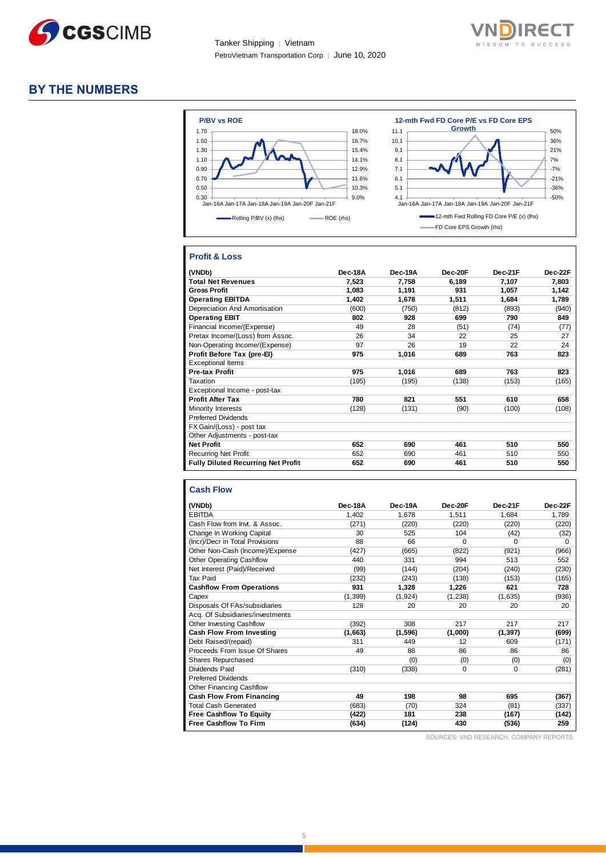



# **BY THE NUMBERS**



# **Profit & Loss**

| (VNDb)                                    | Dec-18A | Dec-19A | Dec-20F | Dec-21F | Dec-22F |
|-------------------------------------------|---------|---------|---------|---------|---------|
| <b>Total Net Revenues</b>                 | 7,523   | 7.758   | 6,189   | 7,107   | 7.803   |
| <b>Gross Profit</b>                       | 1,083   | 1,191   | 931     | 1,057   | 1,142   |
| <b>Operating EBITDA</b>                   | 1,402   | 1,678   | 1,511   | 1,684   | 1,789   |
| Depreciation And Amortisation             | (600)   | (750)   | (812)   | (893)   | (940)   |
| <b>Operating EBIT</b>                     | 802     | 928     | 699     | 790     | 849     |
| Financial Income/(Expense)                | 49      | 28      | (51)    | (74)    | (77)    |
| Pretax Income/(Loss) from Assoc.          | 26      | 34      | 22      | 25      | 27      |
| Non-Operating Income/(Expense)            | 97      | 26      | 19      | 22      | 24      |
| Profit Before Tax (pre-El)                | 975     | 1,016   | 689     | 763     | 823     |
| <b>Exceptional Items</b>                  |         |         |         |         |         |
| <b>Pre-tax Profit</b>                     | 975     | 1,016   | 689     | 763     | 823     |
| Taxation                                  | (195)   | (195)   | (138)   | (153)   | (165)   |
| Exceptional Income - post-tax             |         |         |         |         |         |
| <b>Profit After Tax</b>                   | 780     | 821     | 551     | 610     | 658     |
| Minority Interests                        | (128)   | (131)   | (90)    | (100)   | (108)   |
| <b>Preferred Dividends</b>                |         |         |         |         |         |
| FX Gain/(Loss) - post tax                 |         |         |         |         |         |
| Other Adjustments - post-tax              |         |         |         |         |         |
| <b>Net Profit</b>                         | 652     | 690     | 461     | 510     | 550     |
| <b>Recurring Net Profit</b>               | 652     | 690     | 461     | 510     | 550     |
| <b>Fully Diluted Recurring Net Profit</b> | 652     | 690     | 461     | 510     | 550     |

#### **Cash Flow**

| (VNDb)                           | Dec-18A  | Dec-19A  | Dec-20F     | Dec-21F  | Dec-22F  |
|----------------------------------|----------|----------|-------------|----------|----------|
| <b>EBITDA</b>                    | 1,402    | 1,678    | 1,511       | 1,684    | 1,789    |
| Cash Flow from Invt. & Assoc.    | (271)    | (220)    | (220)       | (220)    | (220)    |
| Change In Working Capital        | 30       | 525      | 104         | (42)     | (32)     |
| (Incr)/Decr in Total Provisions  | 88       | 66       | $\Omega$    | 0        | $\Omega$ |
| Other Non-Cash (Income)/Expense  | (427)    | (665)    | (822)       | (921)    | (966)    |
| <b>Other Operating Cashflow</b>  | 440      | 331      | 994         | 513      | 552      |
| Net Interest (Paid)/Received     | (99)     | (144)    | (204)       | (240)    | (230)    |
| <b>Tax Paid</b>                  | (232)    | (243)    | (138)       | (153)    | (165)    |
| <b>Cashflow From Operations</b>  | 931      | 1,328    | 1,226       | 621      | 728      |
| Capex                            | (1, 399) | (1, 924) | (1,238)     | (1,635)  | (936)    |
| Disposals Of FAs/subsidiaries    | 128      | 20       | 20          | 20       | 20       |
| Acq. Of Subsidiaries/investments |          |          |             |          |          |
| Other Investing Cashflow         | (392)    | 308      | 217         | 217      | 217      |
| Cash Flow From Investing         | (1,663)  | (1,596)  | (1,000)     | (1, 397) | (699)    |
| Debt Raised/(repaid)             | 311      | 449      | 12          | 609      | (171)    |
| Proceeds From Issue Of Shares    | 49       | 86       | 86          | 86       | 86       |
| <b>Shares Repurchased</b>        |          | (0)      | (0)         | (0)      | (0)      |
| Dividends Paid                   | (310)    | (338)    | $\mathbf 0$ | $\Omega$ | (281)    |
| <b>Preferred Dividends</b>       |          |          |             |          |          |
| <b>Other Financing Cashflow</b>  |          |          |             |          |          |
| Cash Flow From Financing         | 49       | 198      | 98          | 695      | (367)    |
| <b>Total Cash Generated</b>      | (683)    | (70)     | 324         | (81)     | (337)    |
| <b>Free Cashflow To Equity</b>   | (422)    | 181      | 238         | (167)    | (142)    |
| <b>Free Cashflow To Firm</b>     | (634)    | (124)    | 430         | (536)    | 259      |

SOURCES: VND RESEARCH, COMPANY REPORTS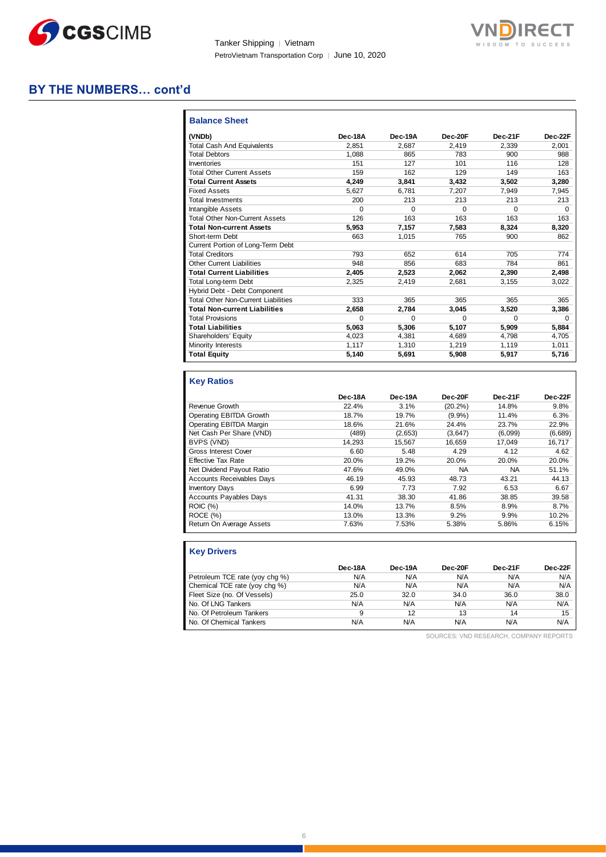



# **BY THE NUMBERS… cont'd**

| <b>Balance Sheet</b>                       |         |          |          |          |          |
|--------------------------------------------|---------|----------|----------|----------|----------|
| (VNDb)                                     | Dec-18A | Dec-19A  | Dec-20F  | Dec-21F  | Dec-22F  |
| <b>Total Cash And Equivalents</b>          | 2.851   | 2.687    | 2.419    | 2.339    | 2.001    |
| <b>Total Debtors</b>                       | 1.088   | 865      | 783      | 900      | 988      |
| Inventories                                | 151     | 127      | 101      | 116      | 128      |
| <b>Total Other Current Assets</b>          | 159     | 162      | 129      | 149      | 163      |
| <b>Total Current Assets</b>                | 4.249   | 3,841    | 3,432    | 3,502    | 3,280    |
| <b>Fixed Assets</b>                        | 5.627   | 6.781    | 7.207    | 7.949    | 7,945    |
| <b>Total Investments</b>                   | 200     | 213      | 213      | 213      | 213      |
| Intangible Assets                          | 0       | $\Omega$ | $\Omega$ | $\Omega$ | $\Omega$ |
| <b>Total Other Non-Current Assets</b>      | 126     | 163      | 163      | 163      | 163      |
| <b>Total Non-current Assets</b>            | 5,953   | 7,157    | 7,583    | 8,324    | 8,320    |
| Short-term Debt                            | 663     | 1.015    | 765      | 900      | 862      |
| Current Portion of Long-Term Debt          |         |          |          |          |          |
| <b>Total Creditors</b>                     | 793     | 652      | 614      | 705      | 774      |
| <b>Other Current Liabilities</b>           | 948     | 856      | 683      | 784      | 861      |
| <b>Total Current Liabilities</b>           | 2.405   | 2.523    | 2.062    | 2,390    | 2,498    |
| <b>Total Long-term Debt</b>                | 2.325   | 2.419    | 2.681    | 3.155    | 3,022    |
| Hybrid Debt - Debt Component               |         |          |          |          |          |
| <b>Total Other Non-Current Liabilities</b> | 333     | 365      | 365      | 365      | 365      |
| <b>Total Non-current Liabilities</b>       | 2.658   | 2.784    | 3,045    | 3,520    | 3,386    |
| <b>Total Provisions</b>                    | U       | 0        | $\Omega$ | $\Omega$ | 0        |
| <b>Total Liabilities</b>                   | 5.063   | 5.306    | 5.107    | 5.909    | 5,884    |
| Shareholders' Equity                       | 4,023   | 4,381    | 4.689    | 4.798    | 4.705    |
| Minority Interests                         | 1.117   | 1.310    | 1.219    | 1.119    | 1,011    |
| <b>Total Equity</b>                        | 5,140   | 5,691    | 5,908    | 5,917    | 5,716    |

# **Key Ratios**

|                                  | Dec-18A | Dec-19A | Dec-20F    | Dec-21F   | Dec-22F |
|----------------------------------|---------|---------|------------|-----------|---------|
| Revenue Growth                   | 22.4%   | 3.1%    | $(20.2\%)$ | 14.8%     | 9.8%    |
| Operating EBITDA Growth          | 18.7%   | 19.7%   | $(9.9\%)$  | 11.4%     | 6.3%    |
| Operating EBITDA Margin          | 18.6%   | 21.6%   | 24.4%      | 23.7%     | 22.9%   |
| Net Cash Per Share (VND)         | (489)   | (2,653) | (3,647)    | (6,099)   | (6,689) |
| BVPS (VND)                       | 14.293  | 15.567  | 16.659     | 17.049    | 16.717  |
| Gross Interest Cover             | 6.60    | 5.48    | 4.29       | 4.12      | 4.62    |
| <b>Effective Tax Rate</b>        | 20.0%   | 19.2%   | 20.0%      | 20.0%     | 20.0%   |
| Net Dividend Payout Ratio        | 47.6%   | 49.0%   | NA         | <b>NA</b> | 51.1%   |
| <b>Accounts Receivables Days</b> | 46.19   | 45.93   | 48.73      | 43.21     | 44.13   |
| <b>Inventory Days</b>            | 6.99    | 7.73    | 7.92       | 6.53      | 6.67    |
| <b>Accounts Payables Days</b>    | 41.31   | 38.30   | 41.86      | 38.85     | 39.58   |
| <b>ROIC (%)</b>                  | 14.0%   | 13.7%   | 8.5%       | 8.9%      | 8.7%    |
| ROCE(%)                          | 13.0%   | 13.3%   | 9.2%       | 9.9%      | 10.2%   |
| Return On Average Assets         | 7.63%   | 7.53%   | 5.38%      | 5.86%     | 6.15%   |

| <b>Key Drivers</b>             |         |         |         |         |         |
|--------------------------------|---------|---------|---------|---------|---------|
|                                | Dec-18A | Dec-19A | Dec-20F | Dec-21F | Dec-22F |
| Petroleum TCE rate (yoy chg %) | N/A     | N/A     | N/A     | N/A     | N/A     |
| Chemical TCE rate (yoy chg %)  | N/A     | N/A     | N/A     | N/A     | N/A     |
| Fleet Size (no. Of Vessels)    | 25.0    | 32.0    | 34.0    | 36.0    | 38.0    |
| No. Of LNG Tankers             | N/A     | N/A     | N/A     | N/A     | N/A     |
| No. Of Petroleum Tankers       | 9       | 12      | 13      | 14      | 15      |
| No. Of Chemical Tankers        | N/A     | N/A     | N/A     | N/A     | N/A     |

SOURCES: VND RESEARCH, COMPANY REPORTS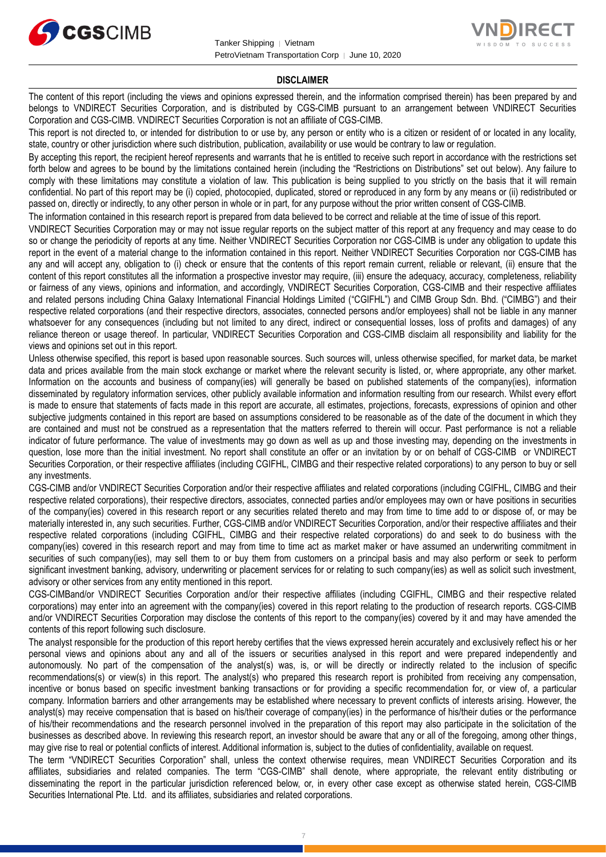



#### **DISCLAIMER**

The content of this report (including the views and opinions expressed therein, and the information comprised therein) has been prepared by and belongs to VNDIRECT Securities Corporation, and is distributed by CGS-CIMB pursuant to an arrangement between VNDIRECT Securities Corporation and CGS-CIMB. VNDIRECT Securities Corporation is not an affiliate of CGS-CIMB.

This report is not directed to, or intended for distribution to or use by, any person or entity who is a citizen or resident of or located in any locality, state, country or other jurisdiction where such distribution, publication, availability or use would be contrary to law or regulation.

By accepting this report, the recipient hereof represents and warrants that he is entitled to receive such report in accordance with the restrictions set forth below and agrees to be bound by the limitations contained herein (including the "Restrictions on Distributions" set out below). Any failure to comply with these limitations may constitute a violation of law. This publication is being supplied to you strictly on the basis that it will remain confidential. No part of this report may be (i) copied, photocopied, duplicated, stored or reproduced in any form by any means or (ii) redistributed or passed on, directly or indirectly, to any other person in whole or in part, for any purpose without the prior written consent of CGS-CIMB.

The information contained in this research report is prepared from data believed to be correct and reliable at the time of issue of this report.

VNDIRECT Securities Corporation may or may not issue regular reports on the subject matter of this report at any frequency and may cease to do so or change the periodicity of reports at any time. Neither VNDIRECT Securities Corporation nor CGS-CIMB is under any obligation to update this report in the event of a material change to the information contained in this report. Neither VNDIRECT Securities Corporation nor CGS-CIMB has any and will accept any, obligation to (i) check or ensure that the contents of this report remain current, reliable or relevant, (ii) ensure that the content of this report constitutes all the information a prospective investor may require, (iii) ensure the adequacy, accuracy, completeness, reliability or fairness of any views, opinions and information, and accordingly, VNDIRECT Securities Corporation, CGS-CIMB and their respective affiliates and related persons including China Galaxy International Financial Holdings Limited ("CGIFHL") and CIMB Group Sdn. Bhd. ("CIMBG") and their respective related corporations (and their respective directors, associates, connected persons and/or employees) shall not be liable in any manner whatsoever for any consequences (including but not limited to any direct, indirect or consequential losses, loss of profits and damages) of any reliance thereon or usage thereof. In particular, VNDIRECT Securities Corporation and CGS-CIMB disclaim all responsibility and liability for the views and opinions set out in this report.

Unless otherwise specified, this report is based upon reasonable sources. Such sources will, unless otherwise specified, for market data, be market data and prices available from the main stock exchange or market where the relevant security is listed, or, where appropriate, any other market. Information on the accounts and business of company(ies) will generally be based on published statements of the company(ies), information disseminated by regulatory information services, other publicly available information and information resulting from our research. Whilst every effort is made to ensure that statements of facts made in this report are accurate, all estimates, projections, forecasts, expressions of opinion and other subjective judgments contained in this report are based on assumptions considered to be reasonable as of the date of the document in which they are contained and must not be construed as a representation that the matters referred to therein will occur. Past performance is not a reliable indicator of future performance. The value of investments may go down as well as up and those investing may, depending on the investments in question, lose more than the initial investment. No report shall constitute an offer or an invitation by or on behalf of CGS-CIMB or VNDIRECT Securities Corporation, or their respective affiliates (including CGIFHL, CIMBG and their respective related corporations) to any person to buy or sell any investments.

CGS-CIMB and/or VNDIRECT Securities Corporation and/or their respective affiliates and related corporations (including CGIFHL, CIMBG and their respective related corporations), their respective directors, associates, connected parties and/or employees may own or have positions in securities of the company(ies) covered in this research report or any securities related thereto and may from time to time add to or dispose of, or may be materially interested in, any such securities. Further, CGS-CIMB and/or VNDIRECT Securities Corporation, and/or their respective affiliates and their respective related corporations (including CGIFHL, CIMBG and their respective related corporations) do and seek to do business with the company(ies) covered in this research report and may from time to time act as market maker or have assumed an underwriting commitment in securities of such company(ies), may sell them to or buy them from customers on a principal basis and may also perform or seek to perform significant investment banking, advisory, underwriting or placement services for or relating to such company(ies) as well as solicit such investment, advisory or other services from any entity mentioned in this report.

CGS-CIMBand/or VNDIRECT Securities Corporation and/or their respective affiliates (including CGIFHL, CIMBG and their respective related corporations) may enter into an agreement with the company(ies) covered in this report relating to the production of research reports. CGS-CIMB and/or VNDIRECT Securities Corporation may disclose the contents of this report to the company(ies) covered by it and may have amended the contents of this report following such disclosure.

The analyst responsible for the production of this report hereby certifies that the views expressed herein accurately and exclusively reflect his or her personal views and opinions about any and all of the issuers or securities analysed in this report and were prepared independently and autonomously. No part of the compensation of the analyst(s) was, is, or will be directly or indirectly related to the inclusion of specific recommendations(s) or view(s) in this report. The analyst(s) who prepared this research report is prohibited from receiving any compensation, incentive or bonus based on specific investment banking transactions or for providing a specific recommendation for, or view of, a particular company. Information barriers and other arrangements may be established where necessary to prevent conflicts of interests arising. However, the analyst(s) may receive compensation that is based on his/their coverage of company(ies) in the performance of his/their duties or the performance of his/their recommendations and the research personnel involved in the preparation of this report may also participate in the solicitation of the businesses as described above. In reviewing this research report, an investor should be aware that any or all of the foregoing, among other things, may give rise to real or potential conflicts of interest. Additional information is, subject to the duties of confidentiality, available on request.

The term "VNDIRECT Securities Corporation" shall, unless the context otherwise requires, mean VNDIRECT Securities Corporation and its affiliates, subsidiaries and related companies. The term "CGS-CIMB" shall denote, where appropriate, the relevant entity distributing or disseminating the report in the particular jurisdiction referenced below, or, in every other case except as otherwise stated herein, CGS-CIMB Securities International Pte. Ltd. and its affiliates, subsidiaries and related corporations.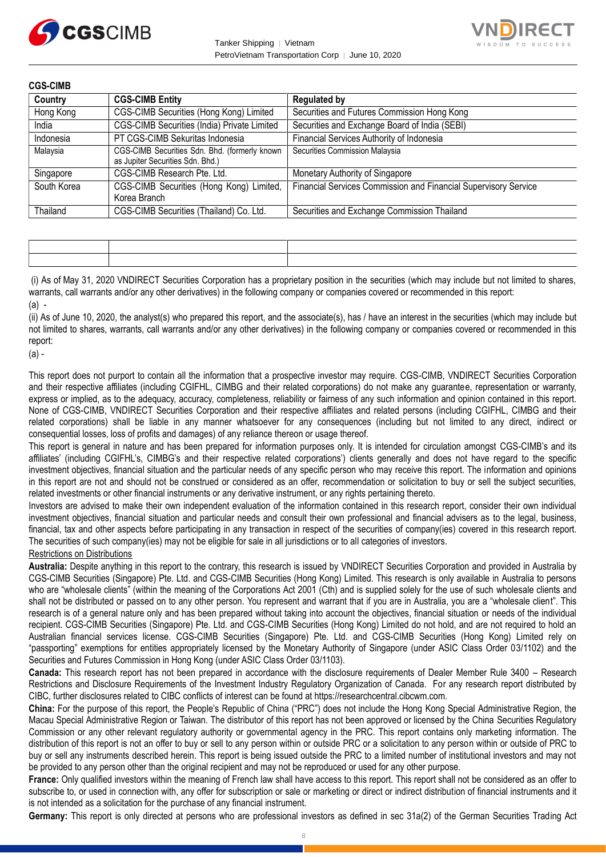



**CGS-CIMB Country CGS-CIMB Entity Requlated by** Hong Kong CGS-CIMB Securities (Hong Kong) Limited | Securities and Futures Commission Hong Kong India CGS-CIMB Securities (India) Private Limited Securities and Exchange Board of India (SEBI) Indonesia PT CGS-CIMB Sekuritas Indonesia Financial Services Authority of Indonesia Malaysia CGS-CIMB Securities Sdn. Bhd. (formerly known as Jupiter Securities Sdn. Bhd.) Securities Commission Malaysia Singapore CGS-CIMB Research Pte. Ltd. Monetary Authority of Singapore South Korea **CGS-CIMB** Securities (Hong Kong) Limited, Korea Branch Financial Services Commission and Financial Supervisory Service Thailand CGS-CIMB Securities (Thailand) Co. Ltd. Securities and Exchange Commission Thailand

| the contract of the contract of the contract of the contract of the contract of | <u> De Barbara (1985)</u><br>De Barbara (1986)<br>De Barbara (1986) |
|---------------------------------------------------------------------------------|---------------------------------------------------------------------|
|                                                                                 |                                                                     |

(i) As of May 31, 2020 VNDIRECT Securities Corporation has a proprietary position in the securities (which may include but not limited to shares, warrants, call warrants and/or any other derivatives) in the following company or companies covered or recommended in this report: (a) -

(ii) As of June 10, 2020, the analyst(s) who prepared this report, and the associate(s), has / have an interest in the securities (which may include but not limited to shares, warrants, call warrants and/or any other derivatives) in the following company or companies covered or recommended in this report:

(a) -

This report does not purport to contain all the information that a prospective investor may require. CGS-CIMB, VNDIRECT Securities Corporation and their respective affiliates (including CGIFHL, CIMBG and their related corporations) do not make any guarantee, representation or warranty, express or implied, as to the adequacy, accuracy, completeness, reliability or fairness of any such information and opinion contained in this report. None of CGS-CIMB, VNDIRECT Securities Corporation and their respective affiliates and related persons (including CGIFHL, CIMBG and their related corporations) shall be liable in any manner whatsoever for any consequences (including but not limited to any direct, indirect or consequential losses, loss of profits and damages) of any reliance thereon or usage thereof.

This report is general in nature and has been prepared for information purposes only. It is intended for circulation amongst CGS-CIMB's and its affiliates' (including CGIFHL's, CIMBG's and their respective related corporations') clients generally and does not have regard to the specific investment objectives, financial situation and the particular needs of any specific person who may receive this report. The information and opinions in this report are not and should not be construed or considered as an offer, recommendation or solicitation to buy or sell the subject securities, related investments or other financial instruments or any derivative instrument, or any rights pertaining thereto.

Investors are advised to make their own independent evaluation of the information contained in this research report, consider their own individual investment objectives, financial situation and particular needs and consult their own professional and financial advisers as to the legal, business, financial, tax and other aspects before participating in any transaction in respect of the securities of company(ies) covered in this research report. The securities of such company(ies) may not be eligible for sale in all jurisdictions or to all categories of investors.

## Restrictions on Distributions

**Australia:** Despite anything in this report to the contrary, this research is issued by VNDIRECT Securities Corporation and provided in Australia by CGS-CIMB Securities (Singapore) Pte. Ltd. and CGS-CIMB Securities (Hong Kong) Limited. This research is only available in Australia to persons who are "wholesale clients" (within the meaning of the Corporations Act 2001 (Cth) and is supplied solely for the use of such wholesale clients and shall not be distributed or passed on to any other person. You represent and warrant that if you are in Australia, you are a "wholesale client". This research is of a general nature only and has been prepared without taking into account the objectives, financial situation or needs of the individual recipient. CGS-CIMB Securities (Singapore) Pte. Ltd. and CGS-CIMB Securities (Hong Kong) Limited do not hold, and are not required to hold an Australian financial services license. CGS-CIMB Securities (Singapore) Pte. Ltd. and CGS-CIMB Securities (Hong Kong) Limited rely on "passporting" exemptions for entities appropriately licensed by the Monetary Authority of Singapore (under ASIC Class Order 03/1102) and the Securities and Futures Commission in Hong Kong (under ASIC Class Order 03/1103).

**Canada:** This research report has not been prepared in accordance with the disclosure requirements of Dealer Member Rule 3400 – Research Restrictions and Disclosure Requirements of the Investment Industry Regulatory Organization of Canada. For any research report distributed by CIBC, further disclosures related to CIBC conflicts of interest can be found at https://researchcentral.cibcwm.com.

**China:** For the purpose of this report, the People's Republic of China ("PRC") does not include the Hong Kong Special Administrative Region, the Macau Special Administrative Region or Taiwan. The distributor of this report has not been approved or licensed by the China Securities Regulatory Commission or any other relevant regulatory authority or governmental agency in the PRC. This report contains only marketing information. The distribution of this report is not an offer to buy or sell to any person within or outside PRC or a solicitation to any person within or outside of PRC to buy or sell any instruments described herein. This report is being issued outside the PRC to a limited number of institutional investors and may not be provided to any person other than the original recipient and may not be reproduced or used for any other purpose.

**France:** Only qualified investors within the meaning of French law shall have access to this report. This report shall not be considered as an offer to subscribe to, or used in connection with, any offer for subscription or sale or marketing or direct or indirect distribution of financial instruments and it is not intended as a solicitation for the purchase of any financial instrument.

**Germany:** This report is only directed at persons who are professional investors as defined in sec 31a(2) of the German Securities Trading Act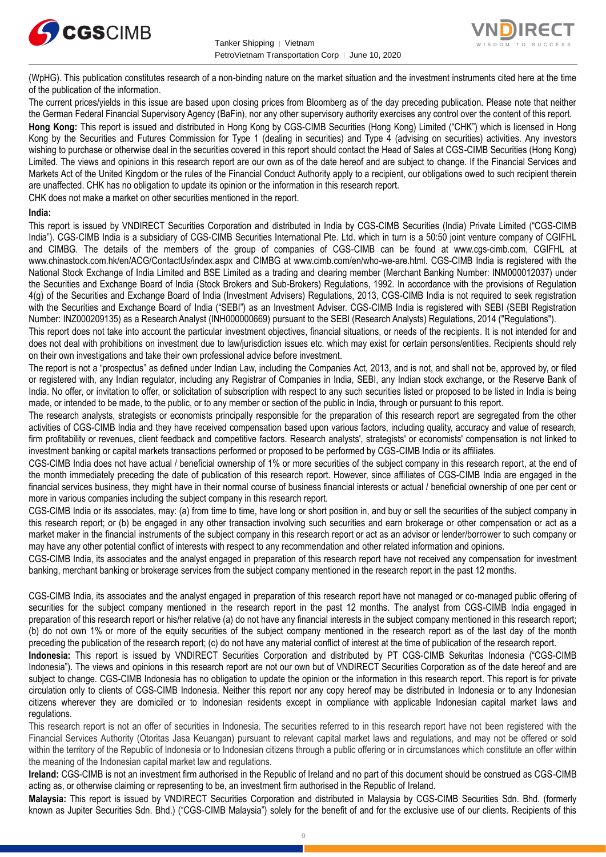



(WpHG). This publication constitutes research of a non-binding nature on the market situation and the investment instruments cited here at the time of the publication of the information.

The current prices/yields in this issue are based upon closing prices from Bloomberg as of the day preceding publication. Please note that neither the German Federal Financial Supervisory Agency (BaFin), nor any other supervisory authority exercises any control over the content of this report. **Hong Kong:** This report is issued and distributed in Hong Kong by CGS-CIMB Securities (Hong Kong) Limited ("CHK") which is licensed in Hong Kong by the Securities and Futures Commission for Type 1 (dealing in securities) and Type 4 (advising on securities) activities. Any investors wishing to purchase or otherwise deal in the securities covered in this report should contact the Head of Sales at CGS-CIMB Securities (Hong Kong) Limited. The views and opinions in this research report are our own as of the date hereof and are subject to change. If the Financial Services and Markets Act of the United Kingdom or the rules of the Financial Conduct Authority apply to a recipient, our obligations owed to such recipient therein

are unaffected. CHK has no obligation to update its opinion or the information in this research report.

CHK does not make a market on other securities mentioned in the report.

#### **India:**

This report is issued by VNDIRECT Securities Corporation and distributed in India by CGS-CIMB Securities (India) Private Limited ("CGS-CIMB India"). CGS-CIMB India is a subsidiary of CGS-CIMB Securities International Pte. Ltd. which in turn is a 50:50 joint venture company of CGIFHL and CIMBG. The details of the members of the group of companies of CGS-CIMB can be found at www.cgs-cimb.com, CGIFHL at www.chinastock.com.hk/en/ACG/ContactUs/index.aspx and CIMBG at www.cimb.com/en/who-we-are.html. CGS-CIMB India is registered with the National Stock Exchange of India Limited and BSE Limited as a trading and clearing member (Merchant Banking Number: INM000012037) under the Securities and Exchange Board of India (Stock Brokers and Sub-Brokers) Regulations, 1992. In accordance with the provisions of Regulation 4(g) of the Securities and Exchange Board of India (Investment Advisers) Regulations, 2013, CGS-CIMB India is not required to seek registration with the Securities and Exchange Board of India ("SEBI") as an Investment Adviser. CGS-CIMB India is registered with SEBI (SEBI Registration Number: INZ000209135) as a Research Analyst (INH000000669) pursuant to the SEBI (Research Analysts) Regulations, 2014 ("Regulations").

This report does not take into account the particular investment objectives, financial situations, or needs of the recipients. It is not intended for and does not deal with prohibitions on investment due to law/jurisdiction issues etc. which may exist for certain persons/entities. Recipients should rely on their own investigations and take their own professional advice before investment.

The report is not a "prospectus" as defined under Indian Law, including the Companies Act, 2013, and is not, and shall not be, approved by, or filed or registered with, any Indian regulator, including any Registrar of Companies in India, SEBI, any Indian stock exchange, or the Reserve Bank of India. No offer, or invitation to offer, or solicitation of subscription with respect to any such securities listed or proposed to be listed in India is being made, or intended to be made, to the public, or to any member or section of the public in India, through or pursuant to this report.

The research analysts, strategists or economists principally responsible for the preparation of this research report are segregated from the other activities of CGS-CIMB India and they have received compensation based upon various factors, including quality, accuracy and value of research, firm profitability or revenues, client feedback and competitive factors. Research analysts', strategists' or economists' compensation is not linked to investment banking or capital markets transactions performed or proposed to be performed by CGS-CIMB India or its affiliates.

CGS-CIMB India does not have actual / beneficial ownership of 1% or more securities of the subject company in this research report, at the end of the month immediately preceding the date of publication of this research report. However, since affiliates of CGS-CIMB India are engaged in the financial services business, they might have in their normal course of business financial interests or actual / beneficial ownership of one per cent or more in various companies including the subject company in this research report.

CGS-CIMB India or its associates, may: (a) from time to time, have long or short position in, and buy or sell the securities of the subject company in this research report; or (b) be engaged in any other transaction involving such securities and earn brokerage or other compensation or act as a market maker in the financial instruments of the subject company in this research report or act as an advisor or lender/borrower to such company or may have any other potential conflict of interests with respect to any recommendation and other related information and opinions.

CGS-CIMB India, its associates and the analyst engaged in preparation of this research report have not received any compensation for investment banking, merchant banking or brokerage services from the subject company mentioned in the research report in the past 12 months.

CGS-CIMB India, its associates and the analyst engaged in preparation of this research report have not managed or co-managed public offering of securities for the subject company mentioned in the research report in the past 12 months. The analyst from CGS-CIMB India engaged in preparation of this research report or his/her relative (a) do not have any financial interests in the subject company mentioned in this research report; (b) do not own 1% or more of the equity securities of the subject company mentioned in the research report as of the last day of the month preceding the publication of the research report; (c) do not have any material conflict of interest at the time of publication of the research report.

**Indonesia:** This report is issued by VNDIRECT Securities Corporation and distributed by PT CGS-CIMB Sekuritas Indonesia ("CGS-CIMB Indonesia"). The views and opinions in this research report are not our own but of VNDIRECT Securities Corporation as of the date hereof and are subject to change. CGS-CIMB Indonesia has no obligation to update the opinion or the information in this research report. This report is for private circulation only to clients of CGS-CIMB Indonesia. Neither this report nor any copy hereof may be distributed in Indonesia or to any Indonesian citizens wherever they are domiciled or to Indonesian residents except in compliance with applicable Indonesian capital market laws and regulations.

This research report is not an offer of securities in Indonesia. The securities referred to in this research report have not been registered with the Financial Services Authority (Otoritas Jasa Keuangan) pursuant to relevant capital market laws and regulations, and may not be offered or sold within the territory of the Republic of Indonesia or to Indonesian citizens through a public offering or in circumstances which constitute an offer within the meaning of the Indonesian capital market law and regulations.

**Ireland:** CGS-CIMB is not an investment firm authorised in the Republic of Ireland and no part of this document should be construed as CGS-CIMB acting as, or otherwise claiming or representing to be, an investment firm authorised in the Republic of Ireland.

**Malaysia:** This report is issued by VNDIRECT Securities Corporation and distributed in Malaysia by CGS-CIMB Securities Sdn. Bhd. (formerly known as Jupiter Securities Sdn. Bhd.) ("CGS-CIMB Malaysia") solely for the benefit of and for the exclusive use of our clients. Recipients of this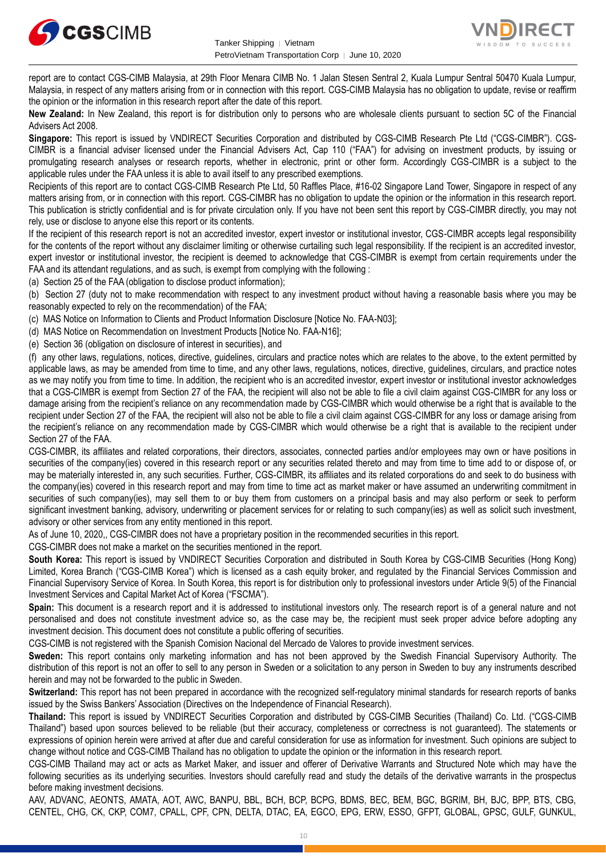



report are to contact CGS-CIMB Malaysia, at 29th Floor Menara CIMB No. 1 Jalan Stesen Sentral 2, Kuala Lumpur Sentral 50470 Kuala Lumpur, Malaysia, in respect of any matters arising from or in connection with this report. CGS-CIMB Malaysia has no obligation to update, revise or reaffirm the opinion or the information in this research report after the date of this report.

**New Zealand:** In New Zealand, this report is for distribution only to persons who are wholesale clients pursuant to section 5C of the Financial Advisers Act 2008.

**Singapore:** This report is issued by VNDIRECT Securities Corporation and distributed by CGS-CIMB Research Pte Ltd ("CGS-CIMBR"). CGS-CIMBR is a financial adviser licensed under the Financial Advisers Act, Cap 110 ("FAA") for advising on investment products, by issuing or promulgating research analyses or research reports, whether in electronic, print or other form. Accordingly CGS-CIMBR is a subject to the applicable rules under the FAA unless it is able to avail itself to any prescribed exemptions.

Recipients of this report are to contact CGS-CIMB Research Pte Ltd, 50 Raffles Place, #16-02 Singapore Land Tower, Singapore in respect of any matters arising from, or in connection with this report. CGS-CIMBR has no obligation to update the opinion or the information in this research report. This publication is strictly confidential and is for private circulation only. If you have not been sent this report by CGS-CIMBR directly, you may not rely, use or disclose to anyone else this report or its contents.

If the recipient of this research report is not an accredited investor, expert investor or institutional investor, CGS-CIMBR accepts legal responsibility for the contents of the report without any disclaimer limiting or otherwise curtailing such legal responsibility. If the recipient is an accredited investor, expert investor or institutional investor, the recipient is deemed to acknowledge that CGS-CIMBR is exempt from certain requirements under the FAA and its attendant regulations, and as such, is exempt from complying with the following :

(a) Section 25 of the FAA (obligation to disclose product information);

(b) Section 27 (duty not to make recommendation with respect to any investment product without having a reasonable basis where you may be reasonably expected to rely on the recommendation) of the FAA;

(c) MAS Notice on Information to Clients and Product Information Disclosure [Notice No. FAA-N03];

(d) MAS Notice on Recommendation on Investment Products [Notice No. FAA-N16];

(e) Section 36 (obligation on disclosure of interest in securities), and

(f) any other laws, regulations, notices, directive, guidelines, circulars and practice notes which are relates to the above, to the extent permitted by applicable laws, as may be amended from time to time, and any other laws, regulations, notices, directive, guidelines, circulars, and practice notes as we may notify you from time to time. In addition, the recipient who is an accredited investor, expert investor or institutional investor acknowledges that a CGS-CIMBR is exempt from Section 27 of the FAA, the recipient will also not be able to file a civil claim against CGS-CIMBR for any loss or damage arising from the recipient's reliance on any recommendation made by CGS-CIMBR which would otherwise be a right that is available to the recipient under Section 27 of the FAA, the recipient will also not be able to file a civil claim against CGS-CIMBR for any loss or damage arising from the recipient's reliance on any recommendation made by CGS-CIMBR which would otherwise be a right that is available to the recipient under Section 27 of the FAA.

CGS-CIMBR, its affiliates and related corporations, their directors, associates, connected parties and/or employees may own or have positions in securities of the company(ies) covered in this research report or any securities related thereto and may from time to time add to or dispose of, or may be materially interested in, any such securities. Further, CGS-CIMBR, its affiliates and its related corporations do and seek to do business with the company(ies) covered in this research report and may from time to time act as market maker or have assumed an underwriting commitment in securities of such company(ies), may sell them to or buy them from customers on a principal basis and may also perform or seek to perform significant investment banking, advisory, underwriting or placement services for or relating to such company(ies) as well as solicit such investment, advisory or other services from any entity mentioned in this report.

As of June 10, 2020,, CGS-CIMBR does not have a proprietary position in the recommended securities in this report.

CGS-CIMBR does not make a market on the securities mentioned in the report.

**South Korea:** This report is issued by VNDIRECT Securities Corporation and distributed in South Korea by CGS-CIMB Securities (Hong Kong) Limited, Korea Branch ("CGS-CIMB Korea") which is licensed as a cash equity broker, and regulated by the Financial Services Commission and Financial Supervisory Service of Korea. In South Korea, this report is for distribution only to professional investors under Article 9(5) of the Financial Investment Services and Capital Market Act of Korea ("FSCMA").

**Spain:** This document is a research report and it is addressed to institutional investors only. The research report is of a general nature and not personalised and does not constitute investment advice so, as the case may be, the recipient must seek proper advice before adopting any investment decision. This document does not constitute a public offering of securities.

CGS-CIMB is not registered with the Spanish Comision Nacional del Mercado de Valores to provide investment services.

**Sweden:** This report contains only marketing information and has not been approved by the Swedish Financial Supervisory Authority. The distribution of this report is not an offer to sell to any person in Sweden or a solicitation to any person in Sweden to buy any instruments described herein and may not be forwarded to the public in Sweden.

**Switzerland:** This report has not been prepared in accordance with the recognized self-regulatory minimal standards for research reports of banks issued by the Swiss Bankers' Association (Directives on the Independence of Financial Research).

**Thailand:** This report is issued by VNDIRECT Securities Corporation and distributed by CGS-CIMB Securities (Thailand) Co. Ltd. ("CGS-CIMB Thailand") based upon sources believed to be reliable (but their accuracy, completeness or correctness is not guaranteed). The statements or expressions of opinion herein were arrived at after due and careful consideration for use as information for investment. Such opinions are subject to change without notice and CGS-CIMB Thailand has no obligation to update the opinion or the information in this research report.

CGS-CIMB Thailand may act or acts as Market Maker, and issuer and offerer of Derivative Warrants and Structured Note which may have the following securities as its underlying securities. Investors should carefully read and study the details of the derivative warrants in the prospectus before making investment decisions.

AAV, ADVANC, AEONTS, AMATA, AOT, AWC, BANPU, BBL, BCH, BCP, BCPG, BDMS, BEC, BEM, BGC, BGRIM, BH, BJC, BPP, BTS, CBG, CENTEL, CHG, CK, CKP, COM7, CPALL, CPF, CPN, DELTA, DTAC, EA, EGCO, EPG, ERW, ESSO, GFPT, GLOBAL, GPSC, GULF, GUNKUL,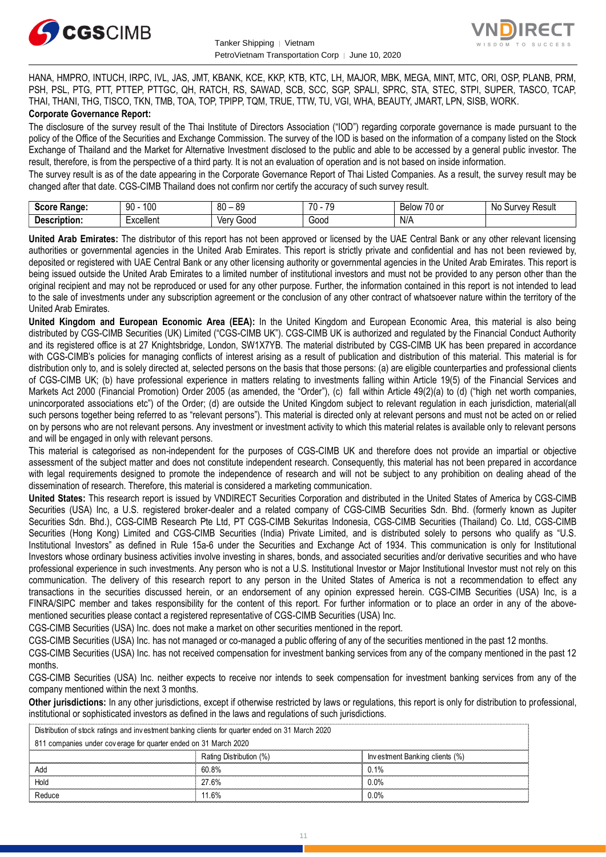



HANA, HMPRO, INTUCH, IRPC, IVL, JAS, JMT, KBANK, KCE, KKP, KTB, KTC, LH, MAJOR, MBK, MEGA, MINT, MTC, ORI, OSP, PLANB, PRM, PSH, PSL, PTG, PTT, PTTEP, PTTGC, QH, RATCH, RS, SAWAD, SCB, SCC, SGP, SPALI, SPRC, STA, STEC, STPI, SUPER, TASCO, TCAP, THAI, THANI, THG, TISCO, TKN, TMB, TOA, TOP, TPIPP, TQM, TRUE, TTW, TU, VGI, WHA, BEAUTY, JMART, LPN, SISB, WORK. **Corporate Governance Report:**

The disclosure of the survey result of the Thai Institute of Directors Association ("IOD") regarding corporate governance is made pursuant to the policy of the Office of the Securities and Exchange Commission. The survey of the IOD is based on the information of a company listed on the Stock Exchange of Thailand and the Market for Alternative Investment disclosed to the public and able to be accessed by a general public investor. The result, therefore, is from the perspective of a third party. It is not an evaluation of operation and is not based on inside information.

The survey result is as of the date appearing in the Corporate Governance Report of Thai Listed Companies. As a result, the survey result may be changed after that date. CGS-CIMB Thailand does not confirm nor certify the accuracy of such survey result.

| Score .<br>Range: | 100<br>۵O<br>IJΜ | 80<br>.or<br>$\overline{\phantom{a}}$ | 70<br>$\overline{\phantom{a}}$<br>$\cdot$ | $\overline{\phantom{a}}$<br><b>Below</b><br>/U OI | Result<br>،۱۵۱۰<br>NG<br>- 1117<br>ou<br>,,,<br>w |
|-------------------|------------------|---------------------------------------|-------------------------------------------|---------------------------------------------------|---------------------------------------------------|
| Description:      | Excellent<br>.   | Verv<br>000خ<br>, u                   | Good<br>.                                 | N/A<br>$\sim$ $\sim$                              |                                                   |

**United Arab Emirates:** The distributor of this report has not been approved or licensed by the UAE Central Bank or any other relevant licensing authorities or governmental agencies in the United Arab Emirates. This report is strictly private and confidential and has not been reviewed by, deposited or registered with UAE Central Bank or any other licensing authority or governmental agencies in the United Arab Emirates. This report is being issued outside the United Arab Emirates to a limited number of institutional investors and must not be provided to any person other than the original recipient and may not be reproduced or used for any other purpose. Further, the information contained in this report is not intended to lead to the sale of investments under any subscription agreement or the conclusion of any other contract of whatsoever nature within the territory of the United Arab Emirates.

**United Kingdom and European Economic Area (EEA):** In the United Kingdom and European Economic Area, this material is also being distributed by CGS-CIMB Securities (UK) Limited ("CGS-CIMB UK"). CGS-CIMB UK is authorized and regulated by the Financial Conduct Authority and its registered office is at 27 Knightsbridge, London, SW1X7YB. The material distributed by CGS-CIMB UK has been prepared in accordance with CGS-CIMB's policies for managing conflicts of interest arising as a result of publication and distribution of this material. This material is for distribution only to, and is solely directed at, selected persons on the basis that those persons: (a) are eligible counterparties and professional clients of CGS-CIMB UK; (b) have professional experience in matters relating to investments falling within Article 19(5) of the Financial Services and Markets Act 2000 (Financial Promotion) Order 2005 (as amended, the "Order"), (c) fall within Article 49(2)(a) to (d) ("high net worth companies, unincorporated associations etc") of the Order; (d) are outside the United Kingdom subject to relevant regulation in each jurisdiction, material(all such persons together being referred to as "relevant persons"). This material is directed only at relevant persons and must not be acted on or relied on by persons who are not relevant persons. Any investment or investment activity to which this material relates is available only to relevant persons and will be engaged in only with relevant persons.

This material is categorised as non-independent for the purposes of CGS-CIMB UK and therefore does not provide an impartial or objective assessment of the subject matter and does not constitute independent research. Consequently, this material has not been prepared in accordance with legal requirements designed to promote the independence of research and will not be subject to any prohibition on dealing ahead of the dissemination of research. Therefore, this material is considered a marketing communication.

**United States:** This research report is issued by VNDIRECT Securities Corporation and distributed in the United States of America by CGS-CIMB Securities (USA) Inc, a U.S. registered broker-dealer and a related company of CGS-CIMB Securities Sdn. Bhd. (formerly known as Jupiter Securities Sdn. Bhd.), CGS-CIMB Research Pte Ltd, PT CGS-CIMB Sekuritas Indonesia, CGS-CIMB Securities (Thailand) Co. Ltd, CGS-CIMB Securities (Hong Kong) Limited and CGS-CIMB Securities (India) Private Limited, and is distributed solely to persons who qualify as "U.S. Institutional Investors" as defined in Rule 15a-6 under the Securities and Exchange Act of 1934. This communication is only for Institutional Investors whose ordinary business activities involve investing in shares, bonds, and associated securities and/or derivative securities and who have professional experience in such investments. Any person who is not a U.S. Institutional Investor or Major Institutional Investor must not rely on this communication. The delivery of this research report to any person in the United States of America is not a recommendation to effect any transactions in the securities discussed herein, or an endorsement of any opinion expressed herein. CGS-CIMB Securities (USA) Inc, is a FINRA/SIPC member and takes responsibility for the content of this report. For further information or to place an order in any of the abovementioned securities please contact a registered representative of CGS-CIMB Securities (USA) Inc.

CGS-CIMB Securities (USA) Inc. does not make a market on other securities mentioned in the report.

CGS-CIMB Securities (USA) Inc. has not managed or co-managed a public offering of any of the securities mentioned in the past 12 months.

CGS-CIMB Securities (USA) Inc. has not received compensation for investment banking services from any of the company mentioned in the past 12 months.

CGS-CIMB Securities (USA) Inc. neither expects to receive nor intends to seek compensation for investment banking services from any of the company mentioned within the next 3 months.

**Other jurisdictions:** In any other jurisdictions, except if otherwise restricted by laws or regulations, this report is only for distribution to professional, institutional or sophisticated investors as defined in the laws and regulations of such jurisdictions. being the purisdictions: In any other jurisdictions, except if otherwise restricted by langulational or sophisticated investors as defined in the laws and regulations of surfactional or sophisticated investment banking cli

| <b>Other jurisdictions:</b> In any other jurisdictions, except if otherwise restricted by laws or regulations, this report is only for distribution to<br>institutional or sophisticated investors as defined in the laws and regulations of such jurisdictions. |                         |                                |  |  |
|------------------------------------------------------------------------------------------------------------------------------------------------------------------------------------------------------------------------------------------------------------------|-------------------------|--------------------------------|--|--|
| Distribution of stock ratings and investment banking clients for quarter ended on 31 March 2020                                                                                                                                                                  |                         |                                |  |  |
| 811 companies under coverage for quarter ended on 31 March 2020                                                                                                                                                                                                  |                         |                                |  |  |
|                                                                                                                                                                                                                                                                  | Rating Distribution (%) | Investment Banking clients (%) |  |  |
| Add                                                                                                                                                                                                                                                              | 60.8%                   | 0.1%                           |  |  |
| Hold                                                                                                                                                                                                                                                             | 27.6%                   | $0.0\%$                        |  |  |
| Reduce                                                                                                                                                                                                                                                           | 11.6%                   | $0.0\%$                        |  |  |
|                                                                                                                                                                                                                                                                  |                         |                                |  |  |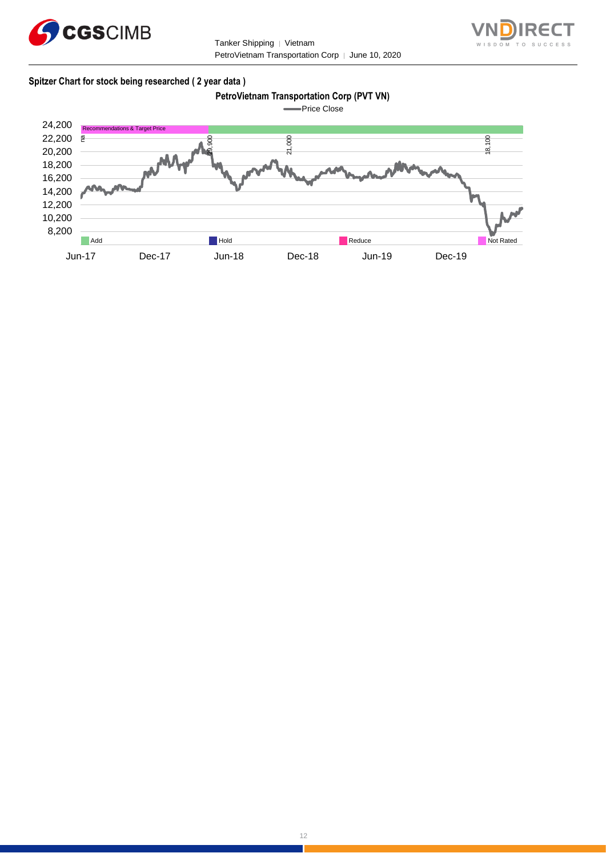



# **Spitzer Chart for stock being researched ( 2 year data )**

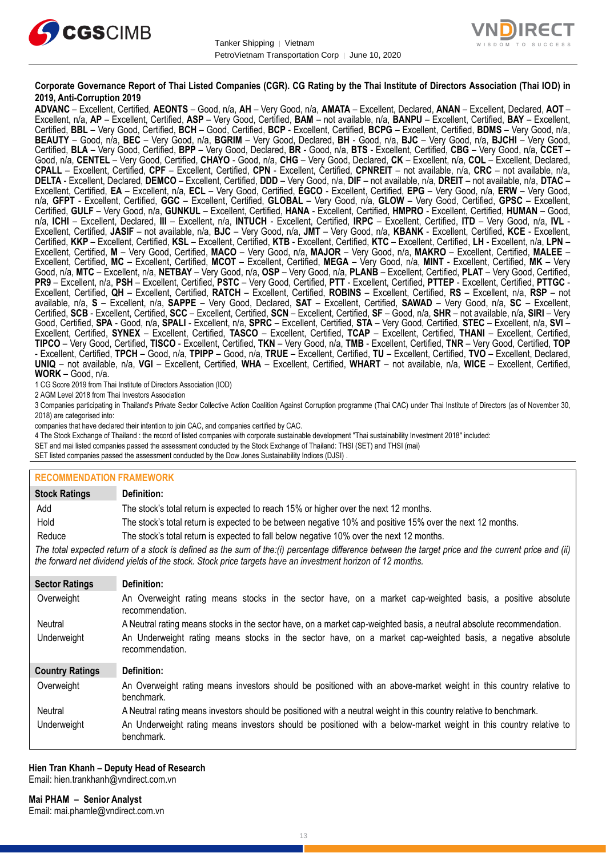



## **Corporate Governance Report of Thai Listed Companies (CGR). CG Rating by the Thai Institute of Directors Association (Thai IOD) in 2019, Anti-Corruption 2019**

**ADVANC** – Excellent, Certified, **AEONTS** – Good, n/a, **AH** – Very Good, n/a, **AMATA** – Excellent, Declared, **ANAN** – Excellent, Declared, **AOT** – Excellent, n/a, **AP** – Excellent, Certified, **ASP** – Very Good, Certified, **BAM** – not available, n/a, **BANPU** – Excellent, Certified, **BAY** – Excellent, Certified, **BBL** – Very Good, Certified, **BCH** – Good, Certified, **BCP** - Excellent, Certified, **BCPG** – Excellent, Certified, **BDMS** – Very Good, n/a, **BEAUTY** – Good, n/a, **BEC** – Very Good, n/a, **BGRIM** – Very Good, Declared, **BH** - Good, n/a, **BJC** – Very Good, n/a, **BJCHI** – Very Good, Certified, **BLA** – Very Good, Certified, **BPP** – Very Good, Declared, **BR** - Good, n/a, **BTS** - Excellent, Certified, **CBG** – Very Good, n/a, **CCET** – Good, n/a, **CENTEL** – Very Good, Certified, **CHAYO** - Good, n/a, **CHG** – Very Good, Declared, **CK** – Excellent, n/a, **COL** – Excellent, Declared, **CPALL** – Excellent, Certified, **CPF** – Excellent, Certified, **CPN** - Excellent, Certified, **CPNREIT** – not available, n/a, **CRC** – not available, n/a, **DELTA** - Excellent, Declared, **DEMCO** – Excellent, Certified, **DDD** – Very Good, n/a, **DIF** – not available, n/a, **DREIT** – not available, n/a, **DTAC** – Excellent, Certified, **EA** – Excellent, n/a, **ECL** – Very Good, Certified, **EGCO** - Excellent, Certified, **EPG** – Very Good, n/a, **ERW** – Very Good, n/a, **GFPT** - Excellent, Certified, **GGC** – Excellent, Certified, **GLOBAL** – Very Good, n/a, **GLOW** – Very Good, Certified, **GPSC** – Excellent, Certified, **GULF** – Very Good, n/a, **GUNKUL** – Excellent, Certified, **HANA** - Excellent, Certified, **HMPRO** - Excellent, Certified, **HUMAN** – Good, n/a, **ICHI** – Excellent, Declared, **III** – Excellent, n/a, **INTUCH** - Excellent, Certified, **IRPC** – Excellent, Certified, **ITD** – Very Good, n/a, **IVL** - Excellent, Certified, **JASIF** – not available, n/a, **BJC** – Very Good, n/a, **JMT** – Very Good, n/a, **KBANK** - Excellent, Certified, **KCE** - Excellent, Certified, **KKP** – Excellent, Certified, **KSL** – Excellent, Certified, **KTB** - Excellent, Certified, **KTC** – Excellent, Certified, **LH** - Excellent, n/a, **LPN** – Excellent, Certified, **M** – Very Good, Certified, **MACO** – Very Good, n/a, **MAJOR** – Very Good, n/a, **MAKRO** – Excellent, Certified, **MALEE** – Excellent, Certified, **MC** – Excellent, Certified, **MCOT** – Excellent, Certified, **MEGA** – Very Good, n/a, **MINT** - Excellent, Certified, **MK** – Very Good, n/a, **MTC** – Excellent, n/a, **NETBAY** – Very Good, n/a, **OSP** – Very Good, n/a, **PLANB** – Excellent, Certified, **PLAT** – Very Good, Certified, **PR9** – Excellent, n/a, **PSH** – Excellent, Certified, **PSTC** – Very Good, Certified, **PTT** - Excellent, Certified, **PTTEP** - Excellent, Certified, **PTTGC** - Excellent, Certified, **QH** – Excellent, Certified, **RATCH** – Excellent, Certified, **ROBINS** – Excellent, Certified, **RS** – Excellent, n/a, **RSP** – not available, n/a, **S** – Excellent, n/a, **SAPPE** – Very Good, Declared, **SAT** – Excellent, Certified, **SAWAD** – Very Good, n/a, **SC** – Excellent, Certified, **SCB** - Excellent, Certified, **SCC** – Excellent, Certified, **SCN** – Excellent, Certified, **SF** – Good, n/a, **SHR** – not available, n/a, **SIRI** – Very Good, Certified, **SPA** - Good, n/a, **SPALI** - Excellent, n/a, **SPRC** – Excellent, Certified, **STA** – Very Good, Certified, **STEC** – Excellent, n/a, **SVI** – Excellent, Certified, **SYNEX** – Excellent, Certified, **TASCO** – Excellent, Certified, **TCAP** – Excellent, Certified, **THANI** – Excellent, Certified, **TIPCO** – Very Good, Certified, **TISCO** - Excellent, Certified, **TKN** – Very Good, n/a, **TMB** - Excellent, Certified, **TNR** – Very Good, Certified, **TOP** - Excellent, Certified, **TPCH** – Good, n/a, **TPIPP** – Good, n/a, **TRUE** – Excellent, Certified, **TU** – Excellent, Certified, **TVO** – Excellent, Declared, **UNIQ** – not available, n/a, **VGI** – Excellent, Certified, **WHA** – Excellent, Certified, **WHART** – not available, n/a, **WICE** – Excellent, Certified, **WORK** – Good, n/a.

1 CG Score 2019 from Thai Institute of Directors Association (IOD)

2 AGM Level 2018 from Thai Investors Association

3 Companies participating in Thailand's Private Sector Collective Action Coalition Against Corruption programme (Thai CAC) under Thai Institute of Directors (as of November 30, 2018) are categorised into:

companies that have declared their intention to join CAC, and companies certified by CAC.

4 [The Stock Exchange of Thailand : the record of listed companies with corporate sustainable development "Thai sustainability Investment 2018" included:](http://www.set.or.th/sustainable_dev/en/sr/sri/tsi_p1.html)

SET and mai listed companies passed the assessment conducted by the Stock Exchange of Thailand: THSI (SET) and THSI (mai)

SET listed companies passed the assessment conducted by the Dow Jones Sustainability Indices (DJSI)

## **RECOMMENDATION FRAMEWORK**

| <b>Stock Ratings</b>   | Definition:                                                                                                                                                                                                                                                       |
|------------------------|-------------------------------------------------------------------------------------------------------------------------------------------------------------------------------------------------------------------------------------------------------------------|
| Add                    | The stock's total return is expected to reach 15% or higher over the next 12 months.                                                                                                                                                                              |
| Hold                   | The stock's total return is expected to be between negative 10% and positive 15% over the next 12 months.                                                                                                                                                         |
| Reduce                 | The stock's total return is expected to fall below negative 10% over the next 12 months.                                                                                                                                                                          |
|                        | The total expected return of a stock is defined as the sum of the:(i) percentage difference between the target price and the current price and (ii)<br>the forward net dividend yields of the stock. Stock price targets have an investment horizon of 12 months. |
| <b>Sector Ratings</b>  | Definition:                                                                                                                                                                                                                                                       |
| Overweight             | An Overweight rating means stocks in the sector have, on a market cap-weighted basis, a positive absolute<br>recommendation.                                                                                                                                      |
| Neutral                | A Neutral rating means stocks in the sector have, on a market cap-weighted basis, a neutral absolute recommendation.                                                                                                                                              |
| Underweight            | An Underweight rating means stocks in the sector have, on a market cap-weighted basis, a negative absolute<br>recommendation.                                                                                                                                     |
| <b>Country Ratings</b> | Definition:                                                                                                                                                                                                                                                       |
| Overweight             | An Overweight rating means investors should be positioned with an above-market weight in this country relative to<br>benchmark.                                                                                                                                   |
| Neutral                | A Neutral rating means investors should be positioned with a neutral weight in this country relative to benchmark.                                                                                                                                                |
| Underweight            | An Underweight rating means investors should be positioned with a below-market weight in this country relative to<br>benchmark.                                                                                                                                   |

#### **Hien Tran Khanh – Deputy Head of Research** Email: [hien.trankhanh@vndirect.com.vn](mailto:hien.trankhanh@vndirect.com.vn)

**Mai PHAM – Senior Analyst** Email: [mai.phamle@vndirect.com.vn](mailto:mai.phamle@vndirect.com.vn)